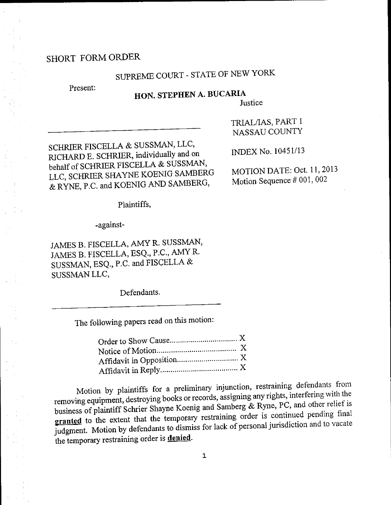### SHORT FORM ORDER

# SUPREME COURT - STATE OF NEW YORK

Present:

### HON. STEPHEN A. BUCARIA

Justice

SCHRIER FISCELLA & SUSSMAN, LLC, RICHARD E. SCHRIER, individually and on behalf of SCHRIER FISCELLA & SUSSMAN, LLC, SCHRIER SHAYNE KOENIG SAMBERG & RYNE, P.C. and KOENIG AND SAMBERG,

TRIAL/IAS, PART 1 NASSAU COUNTY

INDEX No. 10451/13

MOTION DATE: Oct. 11, 2013 Motion Sequence # 001, 002

Plaintiffs,

-against-

JAMES B. FISCELLA, AMY R. SUSSMAN, JAMES B. FISCELLA, ESQ., P.C., AMY R. SUSSMAN, ESQ., P.C. and FISCELLA & SUSSMAN LLC,

Defendants.

The following papers read on this motion:

Motion by plaintiffs for a preliminary injunction, restraining defendants from removing equipment, destroying books or records, assigning any rights, interfering with the business of plaintiff Schrier Shayne Koenig and Samberg & Ryne, PC, and other relief is granted to the extent that the temporary restraining order is continued pending final judgment. Motion by defendants to dismiss for lack of personal jurisdiction and to vacate the temporary restraining order is denied.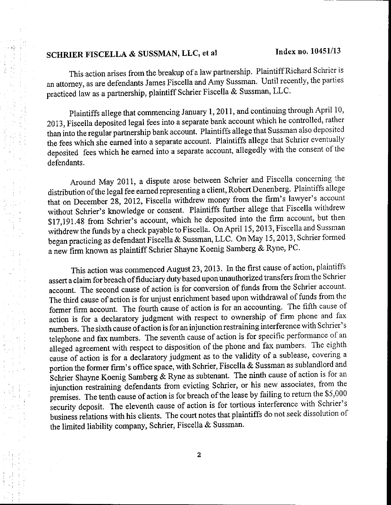# SCHRIER FISCELLA & SUSSMAN, LLC, et al Index no. 10451/13

This action arises from the breakup of a law partnership. Plaintiff Richard Schrier is an attomey, as are defendants James Fiscella and Amy Sussman. Until recently, the parties practiced iaw as a partnership, plaintiff Schrier Fiscella & Sussman, LLC'

Plaintiffs allege that commencing January 1, 2011, and continuing through April 10, 2013, Fiscella deposited legal fees into a separate bank account which he controlled, rather than into the regular partnership bank account. Plaintiffs allege that Sussman also deposited the fees which she earned into a separate account. Plaintiffs allege that Schrier eventually deposited fees which he eamed into a separate account, allegedly with the consent of the defendants.

Around May 2011, a dispute arose between Schrier and Fiscella concerning the distribution of the legal fee earned representing a client, Robert Denenberg. Plaintiffs allege that on December 28, 2012, Fiscella withdrew money from the firm's lawyer's account without schrier's knowledge or consent. Plaintiffs further allege that Fiscella withdrew \$17,191.48 from schrier's account, which he deposited into the firm account, but then withdrew the funds by a check payable to Fiscella. On April 15, 2013, Fiscella and Sussman began practicing as defendant Fiscella & Sussman, LLC. On May 15, 2013, Schrier formed a new firm known as plaintiff Schrier Shayne Koenig Samberg & Ryne, PC.

This action was commenced August 23, 2013. In the first cause of action, plaintiffs assert a claim for breach offiduciary duty based upon unauthorized transfers from the Schrier account. The second cause of action is for conversion of funds from the Schrier account. The third cause of action is for unjust enrichment based upon withdrawal of funds from the former firm account. The fourth cause of action is for an accounting. The fifth cause of action is for a declaratory judgment with respect to ownership of firm phone and fax numbers. The sixth cause ofaction is for an injunction restraining interference with Schrier's telephone and fax numbers. The seventh cause of action is for specific performance of an alleged agreement with respect to disposition of the phone and fax numbers. The eighth cause of action is for a declaratory judgment as to the validity of a sublease, covering a portion the former firm's office space, with Schrier, Fiscella & Sussman as sublandlord and Schrier Shayne Koenig Samberg & Ryne as subtenant. The ninth cause of action is for an injunction restraining defendants from evicting Schrier, or his new associates, from the premises. The tenth cause of action is for breach of the lease by failing to return the \$5,000 security deposit. The eleventh cause of action is for tortious interference with Schrier's business relations with his clients. The court notes that plaintiffs do not seek dissolution of the limited liability company, Schrier, Fiscella & Sussman.